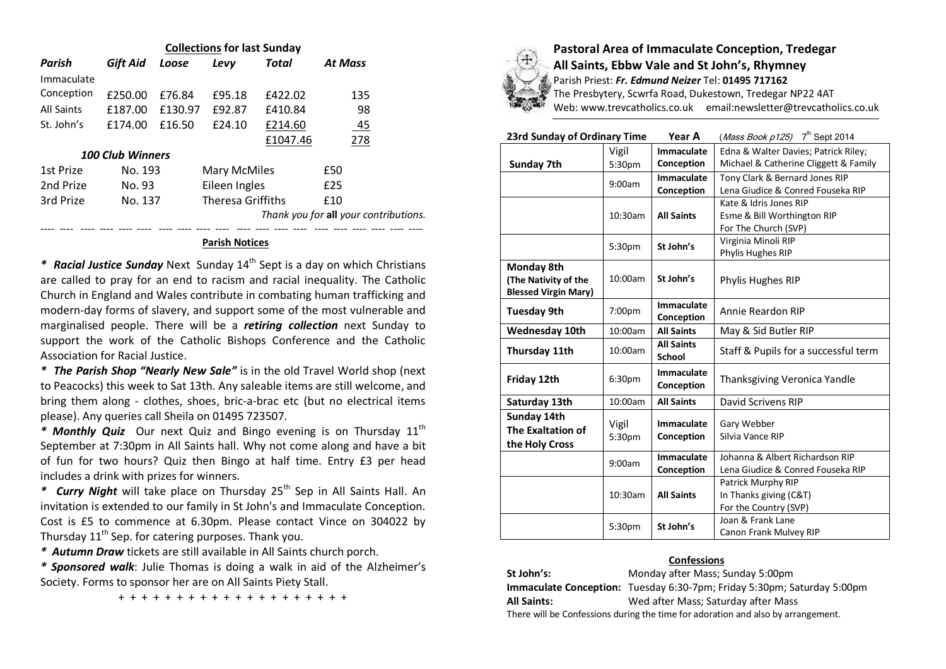| <b>Collections for last Sunday</b> |          |         |                     |                          |                |                                       |  |
|------------------------------------|----------|---------|---------------------|--------------------------|----------------|---------------------------------------|--|
| Parish                             | Gift Aid | Loose   | Levy                | Total                    | <b>At Mass</b> |                                       |  |
| Immaculate                         |          |         |                     |                          |                |                                       |  |
| Conception                         | £250.00  | £76.84  | £95.18              | £422.02                  |                | 135                                   |  |
| <b>All Saints</b>                  | £187.00  | £130.97 | £92.87              | £410.84                  |                | 98                                    |  |
| St. John's                         | £174.00  | £16.50  | f24.10              | £214.60                  |                | 45                                    |  |
|                                    |          |         |                     | £1047.46                 |                | 278                                   |  |
| <b>100 Club Winners</b>            |          |         |                     |                          |                |                                       |  |
| 1st Prize                          | No. 193  |         | <b>Mary McMiles</b> |                          | £50            |                                       |  |
| 2nd Prize                          | No. 93   |         | Eileen Ingles       |                          | f25            |                                       |  |
| 3rd Prize                          | No. 137  |         |                     | <b>Theresa Griffiths</b> |                |                                       |  |
|                                    |          |         |                     |                          |                | Thank you for all your contributions. |  |
|                                    |          |         |                     |                          |                |                                       |  |

## **Parish Notices**

*\* Racial Justice Sunday* Next Sunday 14th Sept is a day on which Christians are called to pray for an end to racism and racial inequality. The Catholic Church in England and Wales contribute in combating human trafficking and modern-day forms of slavery, and support some of the most vulnerable and marginalised people. There will be a *retiring collection* next Sunday to support the work of the Catholic Bishops Conference and the Catholic Association for Racial Justice.

*\* The Parish Shop "Nearly New Sale"* is in the old Travel World shop (next to Peacocks) this week to Sat 13th. Any saleable items are still welcome, and bring them along - clothes, shoes, bric-a-brac etc (but no electrical items please). Any queries call Sheila on 01495 723507.

\* **Monthly Quiz** Our next Quiz and Bingo evening is on Thursday 11<sup>th</sup> September at 7:30pm in All Saints hall. Why not come along and have a bit of fun for two hours? Quiz then Bingo at half time. Entry £3 per head includes a drink with prizes for winners.

\* *Curry Night* will take place on Thursday 25<sup>th</sup> Sep in All Saints Hall. An invitation is extended to our family in St John's and Immaculate Conception. Cost is £5 to commence at 6.30pm. Please contact Vince on 304022 by Thursday  $11^{th}$  Sep. for catering purposes. Thank you.

*\* Autumn Draw* tickets are still available in All Saints church porch.

*\* Sponsored walk*: Julie Thomas is doing a walk in aid of the Alzheimer's Society. Forms to sponsor her are on All Saints Piety Stall.

+ + + + + + + + + + + + + + + + + + + +



**Pastoral Area of Immaculate Conception, Tredegar All Saints, Ebbw Vale and St John's, Rhymney** Parish Priest: *Fr. Edmund Neizer* Tel: **01495 717162** The Presbytery, Scwrfa Road, Dukestown, Tredegar NP22 4AT

Web: www.trevcatholics.co.uk email:newsletter@trevcatholics.co.uk

| 23rd Sunday of Ordinary Time |         | Year A            | ( <i>Mass Book p125</i> ) $7th$ Sept 2014 |  |
|------------------------------|---------|-------------------|-------------------------------------------|--|
|                              | Vigil   | <b>Immaculate</b> | Edna & Walter Davies; Patrick Riley;      |  |
| Sunday 7th                   | 5:30pm  | Conception        | Michael & Catherine Cliggett & Family     |  |
|                              | 9:00am  | <b>Immaculate</b> | Tony Clark & Bernard Jones RIP            |  |
|                              |         | Conception        | Lena Giudice & Conred Fouseka RIP         |  |
|                              | 10:30am |                   | Kate & Idris Jones RIP                    |  |
|                              |         | <b>All Saints</b> | Esme & Bill Worthington RIP               |  |
|                              |         |                   | For The Church (SVP)                      |  |
|                              | 5:30pm  | St John's         | Virginia Minoli RIP                       |  |
|                              |         |                   | Phylis Hughes RIP                         |  |
| Monday 8th                   |         |                   |                                           |  |
| (The Nativity of the         | 10:00am | St John's         | Phylis Hughes RIP                         |  |
| <b>Blessed Virgin Mary)</b>  |         |                   |                                           |  |
| <b>Tuesday 9th</b>           | 7:00pm  | <b>Immaculate</b> | Annie Reardon RIP                         |  |
|                              |         | Conception        |                                           |  |
| <b>Wednesday 10th</b>        | 10:00am | <b>All Saints</b> | May & Sid Butler RIP                      |  |
| Thursday 11th                | 10:00am | <b>All Saints</b> | Staff & Pupils for a successful term      |  |
|                              |         | <b>School</b>     |                                           |  |
| Friday 12th                  | 6:30pm  | <b>Immaculate</b> | Thanksgiving Veronica Yandle              |  |
|                              |         | Conception        |                                           |  |
| Saturday 13th                | 10:00am | <b>All Saints</b> | David Scrivens RIP                        |  |
| Sunday 14th                  |         |                   |                                           |  |
| <b>The Exaltation of</b>     | Vigil   | <b>Immaculate</b> | Gary Webber                               |  |
| the Holy Cross               | 5:30pm  | Conception        | Silvia Vance RIP                          |  |
|                              |         | <b>Immaculate</b> | Johanna & Albert Richardson RIP           |  |
|                              | 9:00am  | Conception        | Lena Giudice & Conred Fouseka RIP         |  |
|                              |         |                   | Patrick Murphy RIP                        |  |
|                              | 10:30am | <b>All Saints</b> | In Thanks giving (C&T)                    |  |
|                              |         |                   | For the Country (SVP)                     |  |
|                              |         |                   | Joan & Frank Lane                         |  |
|                              | 5:30pm  | St John's         | Canon Frank Mulvey RIP                    |  |

## **Confessions**

| St John's:                                                                       | Monday after Mass; Sunday 5:00pm                                        |  |  |  |
|----------------------------------------------------------------------------------|-------------------------------------------------------------------------|--|--|--|
|                                                                                  | Immaculate Conception: Tuesday 6:30-7pm; Friday 5:30pm; Saturday 5:00pm |  |  |  |
| <b>All Saints:</b>                                                               | Wed after Mass; Saturday after Mass                                     |  |  |  |
| There will be Confessions during the time for adoration and also by arrangement. |                                                                         |  |  |  |